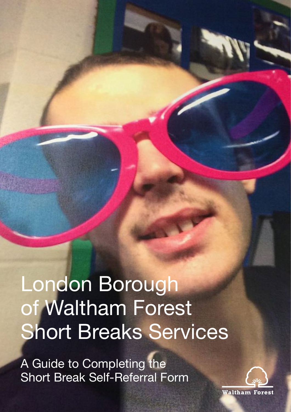# London Borough of Waltham Forest Short Breaks Services

A Guide to Completing the Short Break Self-Referral Form

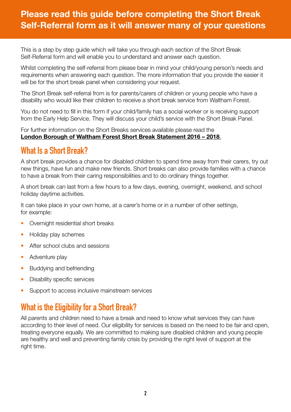### **Please read this guide before completing the Short Break Self-Referral form as it will answer many of your questions**

This is a step by step guide which will take you through each section of the Short Break Self-Referral form and will enable you to understand and answer each question.

Whilst completing the self-referral from please bear in mind your child/young person's needs and requirements when answering each question. The more information that you provide the easier it will be for the short break panel when considering your request.

The Short Break self-referral from is for parents/carers of children or young people who have a disability who would like their children to receive a short break service from Waltham Forest.

You do not need to fill in this form if your child/family has a social worker or is receiving support from the Early Help Service. They will discuss your child's service with the Short Break Panel.

For further information on the Short Breaks services available please read the **[London Borough of Waltham Forest Short Break Statement 2016 – 2018](https://www.walthamforest.gov.uk/content/short-breaks-children-and-young-people-disability)**.

### **What Is a Short Break?**

A short break provides a chance for disabled children to spend time away from their carers, try out new things, have fun and make new friends. Short breaks can also provide families with a chance to have a break from their caring responsibilities and to do ordinary things together.

A short break can last from a few hours to a few days, evening, overnight, weekend, and school holiday daytime activities.

It can take place in your own home, at a carer's home or in a number of other settings, for example:

- Overnight residential short breaks
- Holiday play schemes
- After school clubs and sessions
- Adventure play
- Buddying and befriending
- Disability specific services
- Support to access inclusive mainstream services

## **What is the Eligibility for a Short Break?**

All parents and children need to have a break and need to know what services they can have according to their level of need. Our eligibility for services is based on the need to be fair and open, treating everyone equally. We are committed to making sure disabled children and young people are healthy and well and preventing family crisis by providing the right level of support at the right time.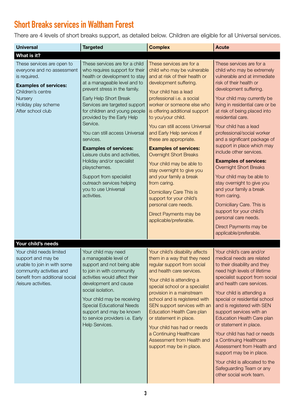# **Short Breaks services in Waltham Forest**

There are 4 levels of short breaks support, as detailed below. Children are eligible for all Universal services.

| <b>Universal</b>                                                                                                                                                                     | <b>Targeted</b>                                                                                                                                                                                                                                                                                                                                                                                                                                                                                                                                                      | <b>Complex</b>                                                                                                                                                                                                                                                                                                                                                                                                                                                                                                                                                                                                                                                        | <b>Acute</b>                                                                                                                                                                                                                                                                                                                                                                                                                                                                                                                                                                                                                                                                                                                   |
|--------------------------------------------------------------------------------------------------------------------------------------------------------------------------------------|----------------------------------------------------------------------------------------------------------------------------------------------------------------------------------------------------------------------------------------------------------------------------------------------------------------------------------------------------------------------------------------------------------------------------------------------------------------------------------------------------------------------------------------------------------------------|-----------------------------------------------------------------------------------------------------------------------------------------------------------------------------------------------------------------------------------------------------------------------------------------------------------------------------------------------------------------------------------------------------------------------------------------------------------------------------------------------------------------------------------------------------------------------------------------------------------------------------------------------------------------------|--------------------------------------------------------------------------------------------------------------------------------------------------------------------------------------------------------------------------------------------------------------------------------------------------------------------------------------------------------------------------------------------------------------------------------------------------------------------------------------------------------------------------------------------------------------------------------------------------------------------------------------------------------------------------------------------------------------------------------|
| What is it?                                                                                                                                                                          |                                                                                                                                                                                                                                                                                                                                                                                                                                                                                                                                                                      |                                                                                                                                                                                                                                                                                                                                                                                                                                                                                                                                                                                                                                                                       |                                                                                                                                                                                                                                                                                                                                                                                                                                                                                                                                                                                                                                                                                                                                |
| These services are open to<br>everyone and no assessment<br>is required.<br><b>Examples of services:</b><br>Children's centre<br>Nursery<br>Holiday play scheme<br>After school club | These services are for a child<br>who requires support for their<br>health or development to stay<br>at a manageable level and to<br>prevent stress in the family.<br>Early Help Short Break<br>Services are targeted support<br>for children and young people<br>provided by the Early Help<br>Service.<br>You can still access Universal<br>services.<br><b>Examples of services:</b><br>Leisure clubs and activities,<br>Holiday and/or specialist<br>playschemes.<br>Support from specialist<br>outreach services helping<br>you to use Universal<br>activities. | These services are for a<br>child who may be vulnerable<br>and at risk of their health or<br>development suffering.<br>Your child has a lead<br>professional i.e. a social<br>worker or someone else who<br>is offering additional support<br>to you/your child.<br>You can still access Universal<br>and Early Help services if<br>these are appropriate.<br><b>Examples of services:</b><br><b>Overnight Short Breaks</b><br>Your child may be able to<br>stay overnight to give you<br>and your family a break<br>from caring.<br>Domiciliary Care This is<br>support for your child's<br>personal care needs.<br>Direct Payments may be<br>applicable/preferable. | These services are for a<br>child who may be extremely<br>vulnerable and at immediate<br>risk of their health or<br>development suffering.<br>Your child may currently be<br>living in residential care or be<br>at risk of being placed into<br>residential care.<br>Your child has a lead<br>professional/social worker<br>and a significant package of<br>support in place which may<br>include other services.<br><b>Examples of services:</b><br><b>Overnight Short Breaks</b><br>Your child may be able to<br>stay overnight to give you<br>and your family a break<br>from caring.<br>Domiciliary Care. This is<br>support for your child's<br>personal care needs.<br>Direct Payments may be<br>applicable/preferable. |
| Your child's needs                                                                                                                                                                   |                                                                                                                                                                                                                                                                                                                                                                                                                                                                                                                                                                      |                                                                                                                                                                                                                                                                                                                                                                                                                                                                                                                                                                                                                                                                       |                                                                                                                                                                                                                                                                                                                                                                                                                                                                                                                                                                                                                                                                                                                                |
| Your child needs limited<br>support and may be<br>unable to join in with some<br>community activities and<br>benefit from additional social<br>/leisure activities.                  | Your child may need<br>a manageable level of<br>support and not being able<br>to join in with community<br>activities would affect their<br>development and cause<br>social isolation.<br>Your child may be receiving<br><b>Special Educational Needs</b><br>support and may be known<br>to service providers i.e. Early<br>Help Services.                                                                                                                                                                                                                           | Your child's disability affects<br>them in a way that they need<br>regular support from social<br>and health care services.<br>Your child is attending a<br>special school or a specialist<br>provision in a mainstream<br>school and is registered with<br>SEN support services with an<br>Education Health Care plan<br>or statement in place.<br>Your child has had or needs<br>a Continuing Healthcare<br>Assessment from Health and<br>support may be in place.                                                                                                                                                                                                  | Your child's care and/or<br>medical needs are related<br>to their disability and they<br>need high levels of lifetime<br>specialist support from social<br>and health care services.<br>Your child is attending a<br>special or residential school<br>and is registered with SEN<br>support services with an<br>Education Health Care plan<br>or statement in place.<br>Your child has had or needs<br>a Continuing Healthcare<br>Assessment from Health and<br>support may be in place.<br>Your child is allocated to the<br>Safeguarding Team or any<br>other social work team.                                                                                                                                              |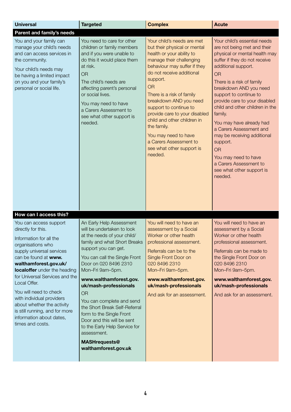| <b>Universal</b>                                                                                                                                                                                                                                                                                                                                                                                                                                              | <b>Targeted</b>                                                                                                                                                                                                                                                                                                                                                                                                                                                                                                     | <b>Complex</b>                                                                                                                                                                                                                                                                                                                                                                                                                                                      | <b>Acute</b>                                                                                                                                                                                                                                                                                                                                                                                                                                                                                                                               |
|---------------------------------------------------------------------------------------------------------------------------------------------------------------------------------------------------------------------------------------------------------------------------------------------------------------------------------------------------------------------------------------------------------------------------------------------------------------|---------------------------------------------------------------------------------------------------------------------------------------------------------------------------------------------------------------------------------------------------------------------------------------------------------------------------------------------------------------------------------------------------------------------------------------------------------------------------------------------------------------------|---------------------------------------------------------------------------------------------------------------------------------------------------------------------------------------------------------------------------------------------------------------------------------------------------------------------------------------------------------------------------------------------------------------------------------------------------------------------|--------------------------------------------------------------------------------------------------------------------------------------------------------------------------------------------------------------------------------------------------------------------------------------------------------------------------------------------------------------------------------------------------------------------------------------------------------------------------------------------------------------------------------------------|
| <b>Parent and family's needs</b>                                                                                                                                                                                                                                                                                                                                                                                                                              |                                                                                                                                                                                                                                                                                                                                                                                                                                                                                                                     |                                                                                                                                                                                                                                                                                                                                                                                                                                                                     |                                                                                                                                                                                                                                                                                                                                                                                                                                                                                                                                            |
| You and your family can<br>manage your child's needs<br>and can access services in<br>the community.<br>Your child's needs may<br>be having a limited impact<br>on you and your family's<br>personal or social life.                                                                                                                                                                                                                                          | You need to care for other<br>children or family members<br>and if you were unable to<br>do this it would place them<br>at risk.<br><b>OR</b><br>The child's needs are<br>affecting parent's personal<br>or social lives.<br>You may need to have<br>a Carers Assessment to<br>see what other support is<br>needed.                                                                                                                                                                                                 | Your child's needs are met<br>but their physical or mental<br>health or your ability to<br>manage their challenging<br>behaviour may suffer if they<br>do not receive additional<br>support.<br><b>OR</b><br>There is a risk of family<br>breakdown AND you need<br>support to continue to<br>provide care to your disabled<br>child and other children in<br>the family.<br>You may need to have<br>a Carers Assessment to<br>see what other support is<br>needed. | Your child's essential needs<br>are not being met and their<br>physical or mental health may<br>suffer if they do not receive<br>additional support.<br><b>OR</b><br>There is a risk of family<br>breakdown AND you need<br>support to continue to<br>provide care to your disabled<br>child and other children in the<br>family.<br>You may have already had<br>a Carers Assessment and<br>may be receiving additional<br>support.<br><b>OR</b><br>You may need to have<br>a Carers Assessment to<br>see what other support is<br>needed. |
|                                                                                                                                                                                                                                                                                                                                                                                                                                                               |                                                                                                                                                                                                                                                                                                                                                                                                                                                                                                                     |                                                                                                                                                                                                                                                                                                                                                                                                                                                                     |                                                                                                                                                                                                                                                                                                                                                                                                                                                                                                                                            |
| How can I access this?<br>You can access support<br>directly for this.<br>Information for all the<br>organisations who<br>supply universal services<br>can be found at www.<br>walthamforest.gov.uk/<br>localoffer under the heading<br>for Universal Services and the<br>Local Offer.<br>You will need to check<br>with individual providers<br>about whether the activity<br>is still running, and for more<br>information about dates,<br>times and costs. | An Early Help Assessment<br>will be undertaken to look<br>at the needs of your child/<br>family and what Short Breaks<br>support you can get.<br>You can call the Single Front<br>Door on 020 8496 2310<br>Mon-Fri 9am-5pm.<br>www.walthamforest.gov.<br>uk/mash-professionals<br><b>OR</b><br>You can complete and send<br>the Short Break Self-Referral<br>form to the Single Front<br>Door and this will be sent<br>to the Early Help Service for<br>assessment.<br><b>MASHrequests@</b><br>walthamforest.gov.uk | You will need to have an<br>assessment by a Social<br>Worker or other health<br>professional assessment.<br>Referrals can be to the<br>Single Front Door on<br>020 8496 2310<br>Mon-Fri 9am-5pm.<br>www.walthamforest.gov.<br>uk/mash-professionals<br>And ask for an assessment.                                                                                                                                                                                   | You will need to have an<br>assessment by a Social<br>Worker or other health<br>professional assessment.<br>Referrals can be made to<br>the Single Front Door on<br>020 8496 2310<br>Mon-Fri 9am-5pm.<br>www.walthamforest.gov.<br>uk/mash-professionals<br>And ask for an assessment.                                                                                                                                                                                                                                                     |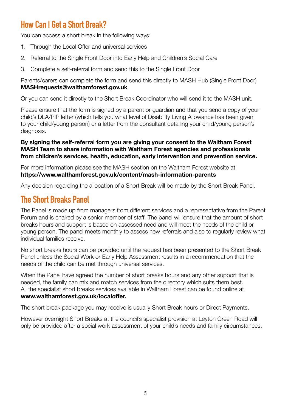# **How Can I Get a Short Break?**

You can access a short break in the following ways:

- 1. Through the Local Offer and universal services
- 2. Referral to the Single Front Door into Early Help and Children's Social Care
- 3. Complete a self-referral form and send this to the Single Front Door

Parents/carers can complete the form and send this directly to MASH Hub (Single Front Door) **MASHrequests@walthamforest.gov.uk**

Or you can send it directly to the Short Break Coordinator who will send it to the MASH unit.

Please ensure that the form is signed by a parent or guardian and that you send a copy of your child's DLA/PIP letter (which tells you what level of Disability Living Allowance has been given to your child/young person) or a letter from the consultant detailing your child/young person's diagnosis.

**By signing the self-referral form you are giving your consent to the Waltham Forest MASH Team to share information with Waltham Forest agencies and professionals from children's services, health, education, early intervention and prevention service.**

For more information please see the MASH section on the Waltham Forest website at **https://www.walthamforest.gov.uk/content/mash-information-parents**

Any decision regarding the allocation of a Short Break will be made by the Short Break Panel.

### **The Short Breaks Panel**

The Panel is made up from managers from different services and a representative from the Parent Forum and is chaired by a senior member of staff. The panel will ensure that the amount of short breaks hours and support is based on assessed need and will meet the needs of the child or young person. The panel meets monthly to assess new referrals and also to regularly review what individual families receive.

No short breaks hours can be provided until the request has been presented to the Short Break Panel unless the Social Work or Early Help Assessment results in a recommendation that the needs of the child can be met through universal services.

When the Panel have agreed the number of short breaks hours and any other support that is needed, the family can mix and match services from the directory which suits them best. All the specialist short breaks services available in Waltham Forest can be found online at **[www.walthamforest.gov.uk/localoffer.](http://walthamforest.childrensservicedirectory.org.uk/kb5/walthamforest/fsd/localoffer.page)** 

The short break package you may receive is usually Short Break hours or Direct Payments.

However overnight Short Breaks at the council's specialist provision at Leyton Green Road will only be provided after a social work assessment of your child's needs and family circumstances.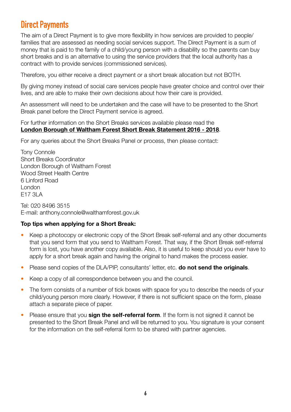## **Direct Payments**

The aim of a Direct Payment is to give more flexibility in how services are provided to people/ families that are assessed as needing social services support. The Direct Payment is a sum of money that is paid to the family of a child/young person with a disability so the parents can buy short breaks and is an alternative to using the service providers that the local authority has a contract with to provide services (commissioned services).

Therefore, you either receive a direct payment or a short break allocation but not BOTH.

By giving money instead of social care services people have greater choice and control over their lives, and are able to make their own decisions about how their care is provided.

An assessment will need to be undertaken and the case will have to be presented to the Short Break panel before the Direct Payment service is agreed.

For further information on the Short Breaks services available please read the **[London Borough of Waltham Forest Short Break Statement 2016 - 2018](https://www.walthamforest.gov.uk/content/short-breaks-children-and-young-people-disability)**.

For any queries about the Short Breaks Panel or process, then please contact:

Tony Connole Short Breaks Coordinator London Borough of Waltham Forest Wood Street Health Centre 6 Linford Road London E17 3LA

Tel: 020 8496 3515 E-mail: anthony.connole@walthamforest.gov.uk

#### **Top tips when applying for a Short Break:**

- Keep a photocopy or electronic copy of the Short Break self-referral and any other documents that you send form that you send to Waltham Forest. That way, if the Short Break self-referral form is lost, you have another copy available. Also, it is useful to keep should you ever have to apply for a short break again and having the original to hand makes the process easier.
- Please send copies of the DLA/PIP, consultants' letter, etc. **do not send the originals**.
- Keep a copy of all correspondence between you and the council.
- The form consists of a number of tick boxes with space for you to describe the needs of your child/young person more clearly. However, if there is not sufficient space on the form, please attach a separate piece of paper.
- Please ensure that you **sign the self-referral form**. If the form is not signed it cannot be presented to the Short Break Panel and will be returned to you. You signature is your consent for the information on the self-referral form to be shared with partner agencies.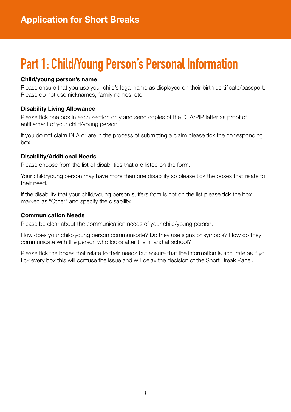# **Part 1: Child/Young Person's Personal Information**

#### **Child/young person's name**

Please ensure that you use your child's legal name as displayed on their birth certificate/passport. Please do not use nicknames, family names, etc.

#### **Disability Living Allowance**

Please tick one box in each section only and send copies of the DLA/PIP letter as proof of entitlement of your child/young person.

If you do not claim DLA or are in the process of submitting a claim please tick the corresponding box.

#### **Disability/Additional Needs**

Please choose from the list of disabilities that are listed on the form.

Your child/young person may have more than one disability so please tick the boxes that relate to their need.

If the disability that your child/young person suffers from is not on the list please tick the box marked as "Other" and specify the disability.

#### **Communication Needs**

Please be clear about the communication needs of your child/young person.

How does your child/young person communicate? Do they use signs or symbols? How do they communicate with the person who looks after them, and at school?

Please tick the boxes that relate to their needs but ensure that the information is accurate as if you tick every box this will confuse the issue and will delay the decision of the Short Break Panel.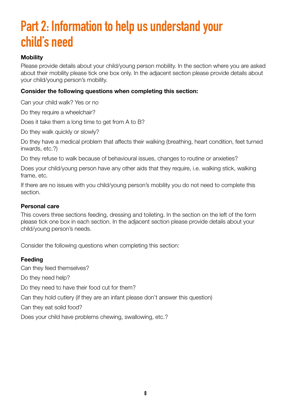# **Part 2: Information to help us understand your child's need**

#### **Mobility**

Please provide details about your child/young person mobility. In the section where you are asked about their mobility please tick one box only. In the adjacent section please provide details about your child/young person's mobility.

#### **Consider the following questions when completing this section:**

Can your child walk? Yes or no

Do they require a wheelchair?

Does it take them a long time to get from A to B?

Do they walk quickly or slowly?

Do they have a medical problem that affects their walking (breathing, heart condition, feet turned inwards, etc.?)

Do they refuse to walk because of behavioural issues, changes to routine or anxieties?

Does your child/young person have any other aids that they require, i.e. walking stick, walking frame, etc.

If there are no issues with you child/young person's mobility you do not need to complete this section.

#### **Personal care**

This covers three sections feeding, dressing and toileting. In the section on the left of the form please tick one box in each section. In the adjacent section please provide details about your child/young person's needs.

Consider the following questions when completing this section:

#### **Feeding**

Can they feed themselves? Do they need help? Do they need to have their food cut for them? Can they hold cutlery (if they are an infant please don't answer this question) Can they eat solid food? Does your child have problems chewing, swallowing, etc.?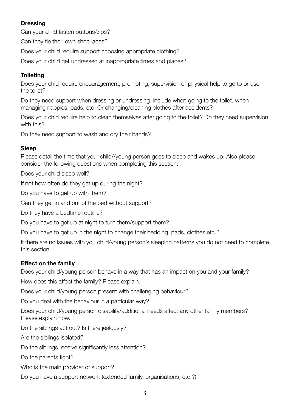#### **Dressing**

Can your child fasten buttons/zips?

Can they tie their own shoe laces?

Does your child require support choosing appropriate clothing?

Does your child get undressed at inappropriate times and places?

#### **Toileting**

Does your chid require encouragement, prompting, supervision or physical help to go to or use the toilet?

Do they need support when dressing or undressing, include when going to the toilet, when managing nappies, pads, etc. Or changing/cleaning clothes after accidents?

Does your chid require help to clean themselves after going to the toilet? Do they need supervision with this?

Do they need support to wash and dry their hands?

#### **Sleep**

Please detail the time that your child//young person goes to sleep and wakes up. Also please consider the following questions when completing this section:

Does your child sleep well?

If not how often do they get up during the night?

Do you have to get up with them?

Can they get in and out of the bed without support?

Do they have a bedtime routine?

Do you have to get up at night to turn them/support them?

Do you have to get up in the night to change their bedding, pads, clothes etc.?

If there are no issues with you child/young person's sleeping patterns you do not need to complete this section.

#### **Effect on the family**

Does your child/young person behave in a way that has an impact on you and your family?

How does this affect the family? Please explain.

Does your child/young person present with challenging behaviour?

Do you deal with the behaviour in a particular way?

Does your child/young person disability/additional needs affect any other family members? Please explain how.

Do the siblings act out? Is there jealously?

Are the siblings isolated?

Do the siblings receive significantly less attention?

Do the parents fight?

Who is the main provider of support?

Do you have a support network (extended family, organisations, etc.?)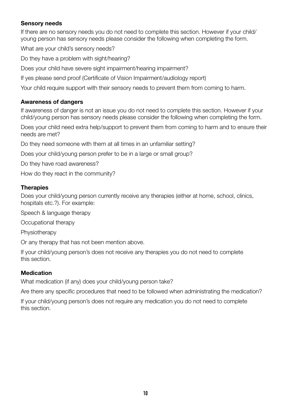#### **Sensory needs**

If there are no sensory needs you do not need to complete this section. However if your child/ young person has sensory needs please consider the following when completing the form.

What are your child's sensory needs?

Do they have a problem with sight/hearing?

Does your child have severe sight impairment/hearing impairment?

If yes please send proof (Certificate of Vision Impairment/audiology report)

Your child require support with their sensory needs to prevent them from coming to harm.

#### **Awareness of dangers**

If awareness of danger is not an issue you do not need to complete this section. However if your child/young person has sensory needs please consider the following when completing the form.

Does your child need extra help/support to prevent them from coming to harm and to ensure their needs are met?

Do they need someone with them at all times in an unfamiliar setting?

Does your child/young person prefer to be in a large or small group?

Do they have road awareness?

How do they react in the community?

#### **Therapies**

Does your child/young person currently receive any therapies (either at home, school, clinics, hospitals etc.?). For example:

Speech & language therapy

Occupational therapy

Physiotherapy

Or any therapy that has not been mention above.

If your child/young person's does not receive any therapies you do not need to complete this section.

#### **Medication**

What medication (if any) does your child/young person take?

Are there any specific procedures that need to be followed when administrating the medication?

If your child/young person's does not require any medication you do not need to complete this section.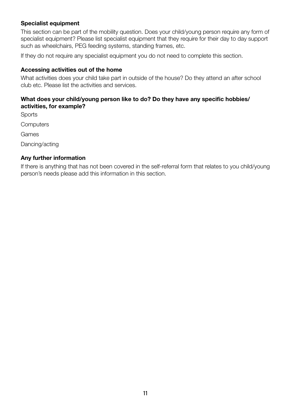#### **Specialist equipment**

This section can be part of the mobility question. Does your child/young person require any form of specialist equipment? Please list specialist equipment that they require for their day to day support such as wheelchairs, PEG feeding systems, standing frames, etc.

If they do not require any specialist equipment you do not need to complete this section.

#### **Accessing activities out of the home**

What activities does your child take part in outside of the house? Do they attend an after school club etc. Please list the activities and services.

#### **What does your child/young person like to do? Do they have any specific hobbies/ activities, for example?**

**Sports** 

**Computers** 

Games

Dancing/acting

#### **Any further information**

If there is anything that has not been covered in the self-referral form that relates to you child/young person's needs please add this information in this section.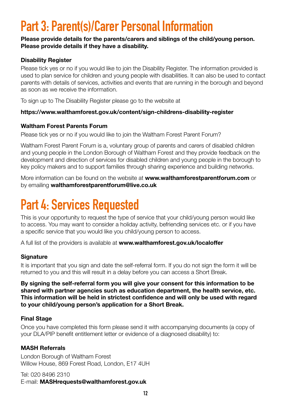# **Part 3: Parent(s)/Carer Personal Information**

#### **Please provide details for the parents/carers and siblings of the child/young person. Please provide details if they have a disability.**

#### **Disability Register**

Please tick yes or no if you would like to join the Disability Register. The information provided is used to plan service for children and young people with disabilities. It can also be used to contact parents with details of services, activities and events that are running in the borough and beyond as soon as we receive the information.

To sign up to The Disability Register please go to the website at

#### **https://www.walthamforest.gov.uk/content/sign-childrens-disability-register**

#### **Waltham Forest Parents Forum**

Please tick yes or no if you would like to join the Waltham Forest Parent Forum?

Waltham Forest Parent Forum is a, voluntary group of parents and carers of disabled children and young people in the London Borough of Waltham Forest and they provide feedback on the development and direction of services for disabled children and young people in the borough to key policy makers and to support families through sharing experience and building networks.

More information can be found on the website at **www.walthamforestparentforum.com** or by emailing **walthamforestparentforum@live.co.uk**

# **Part 4: Services Requested**

This is your opportunity to request the type of service that your child/young person would like to access. You may want to consider a holiday activity, befriending services etc. or if you have a specific service that you would like you child/young person to access.

A full list of the providers is available at **[www.walthamforest.gov.uk/localoffer](http://walthamforest.childrensservicedirectory.org.uk/kb5/walthamforest/fsd/localoffer.page)**

#### **Signature**

It is important that you sign and date the self-referral form. If you do not sign the form it will be returned to you and this will result in a delay before you can access a Short Break.

**By signing the self-referral form you will give your consent for this information to be shared with partner agencies such as education department, the health service, etc. This information will be held in strictest confidence and will only be used with regard to your child/young person's application for a Short Break.**

#### **Final Stage**

Once you have completed this form please send it with accompanying documents (a copy of your DLA/PIP benefit entitlement letter or evidence of a diagnosed disability) to:

#### **MASH Referrals**

London Borough of Waltham Forest Willow House, 869 Forest Road, London, E17 4UH

Tel: 020 8496 2310 E-mail: **MASHrequests@walthamforest.gov.uk**